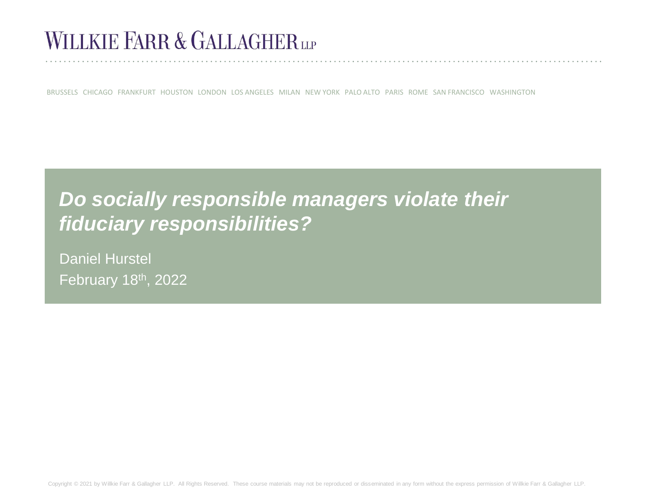# WILLKIE FARR & GALLAGHER

BRUSSELS CHICAGO FRANKFURT HOUSTON LONDON LOS ANGELES MILAN NEW YORK PALO ALTO PARIS ROME SAN FRANCISCO WASHINGTON

## *Do socially responsible managers violate their fiduciary responsibilities?*

Daniel Hurstel February 18th, 2022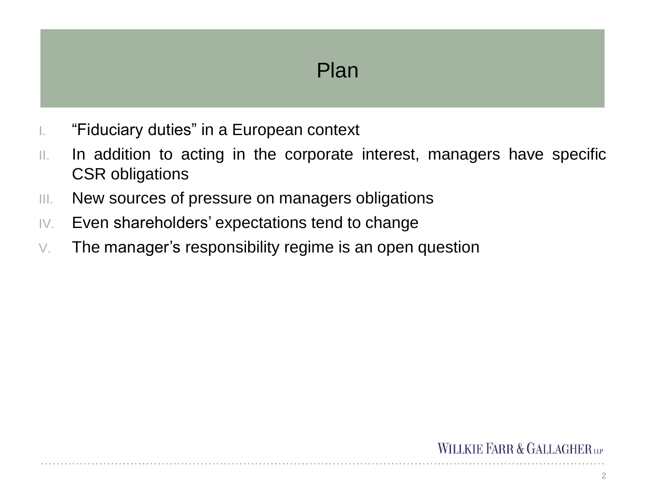### Plan

- I. "Fiduciary duties" in a European context
- II. In addition to acting in the corporate interest, managers have specific CSR obligations
- III. New sources of pressure on managers obligations
- IV. Even shareholders' expectations tend to change
- V. The manager's responsibility regime is an open question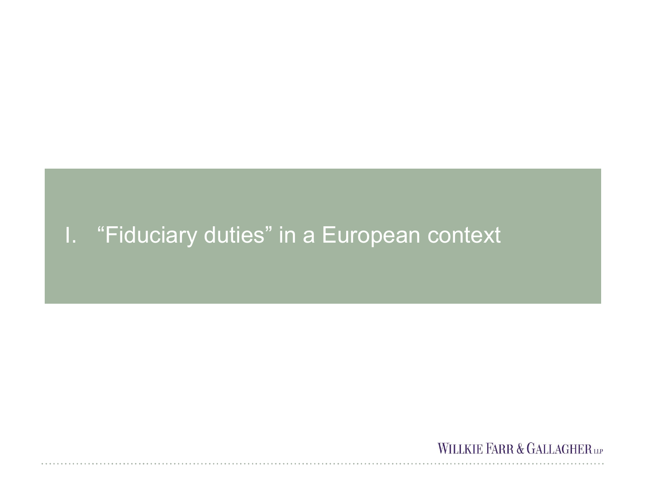## I. "Fiduciary duties" in a European context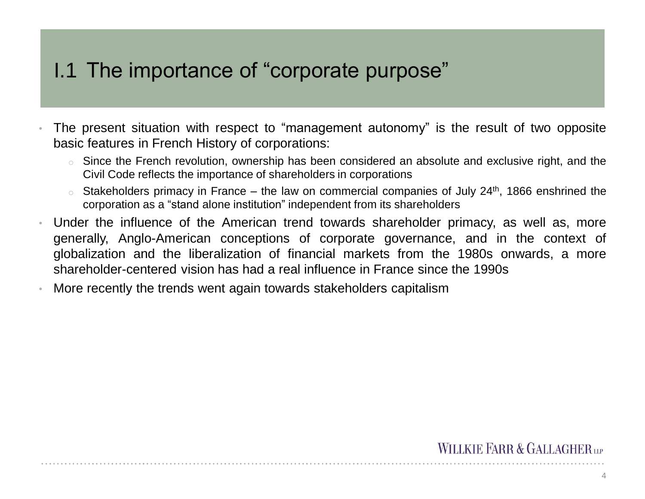### I.1 The importance of "corporate purpose"

- The present situation with respect to "management autonomy" is the result of two opposite basic features in French History of corporations:
	- $\circ$  Since the French revolution, ownership has been considered an absolute and exclusive right, and the Civil Code reflects the importance of shareholders in corporations
	- $\circ$  Stakeholders primacy in France the law on commercial companies of July 24<sup>th</sup>, 1866 enshrined the corporation as a "stand alone institution" independent from its shareholders
- Under the influence of the American trend towards shareholder primacy, as well as, more generally, Anglo-American conceptions of corporate governance, and in the context of globalization and the liberalization of financial markets from the 1980s onwards, a more shareholder-centered vision has had a real influence in France since the 1990s
- More recently the trends went again towards stakeholders capitalism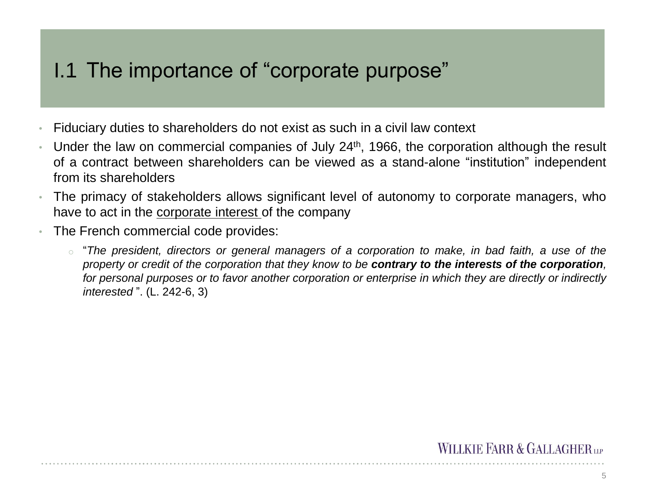## I.1 The importance of "corporate purpose"

- Fiduciary duties to shareholders do not exist as such in a civil law context
- Under the law on commercial companies of July 24<sup>th</sup>, 1966, the corporation although the result of a contract between shareholders can be viewed as a stand-alone "institution" independent from its shareholders
- The primacy of stakeholders allows significant level of autonomy to corporate managers, who have to act in the corporate interest of the company
- The French commercial code provides:
	- $\circ$  "The president, directors or general managers of a corporation to make, in bad faith, a use of the property or credit of the corporation that they know to be contrary to the interests of the corporation. for personal purposes or to favor another corporation or enterprise in which they are directly or indirectly *interested* ". (L. 242-6, 3)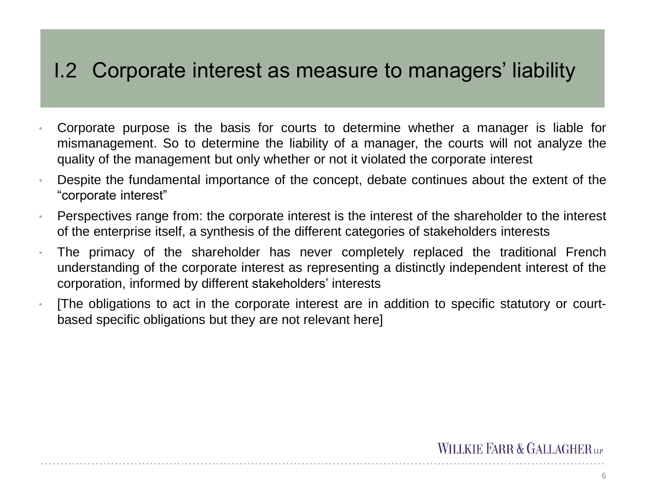### I.2 Corporate interest as measure to managers' liability

- Corporate purpose is the basis for courts to determine whether a manager is liable for mismanagement. So to determine the liability of a manager, the courts will not analyze the quality of the management but only whether or not it violated the corporate interest
- Despite the fundamental importance of the concept, debate continues about the extent of the "corporate interest"
- Perspectives range from: the corporate interest is the interest of the shareholder to the interest of the enterprise itself, a synthesis of the different categories of stakeholders interests
- The primacy of the shareholder has never completely replaced the traditional French understanding of the corporate interest as representing a distinctly independent interest of the corporation, informed by different stakeholders' interests
- [The obligations to act in the corporate interest are in addition to specific statutory or courtbased specific obligations but they are not relevant here]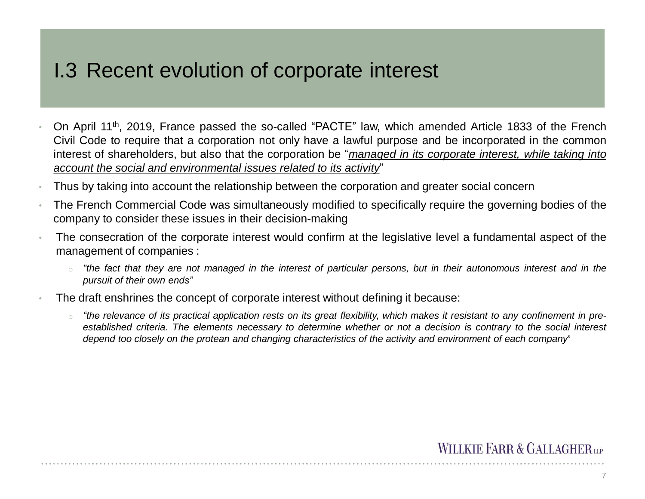### I.3 Recent evolution of corporate interest

- On April 11<sup>th</sup>, 2019, France passed the so-called "PACTE" law, which amended Article 1833 of the French Civil Code to require that a corporation not only have a lawful purpose and be incorporated in the common interest of shareholders, but also that the corporation be "*managed in its corporate interest, while taking into account the social and environmental issues related to its activity*"
- Thus by taking into account the relationship between the corporation and greater social concern
- The French Commercial Code was simultaneously modified to specifically require the governing bodies of the company to consider these issues in their decision-making
- The consecration of the corporate interest would confirm at the legislative level a fundamental aspect of the management of companies :
	- "the fact that they are not managed in the interest of particular persons, but in their autonomous interest and in the *pursuit of their own ends"*
- The draft enshrines the concept of corporate interest without defining it because:
	- "the relevance of its practical application rests on its great flexibility, which makes it resistant to any confinement in preestablished criteria. The elements necessary to determine whether or not a decision is contrary to the social interest depend too closely on the protean and changing characteristics of the activity and environment of each company"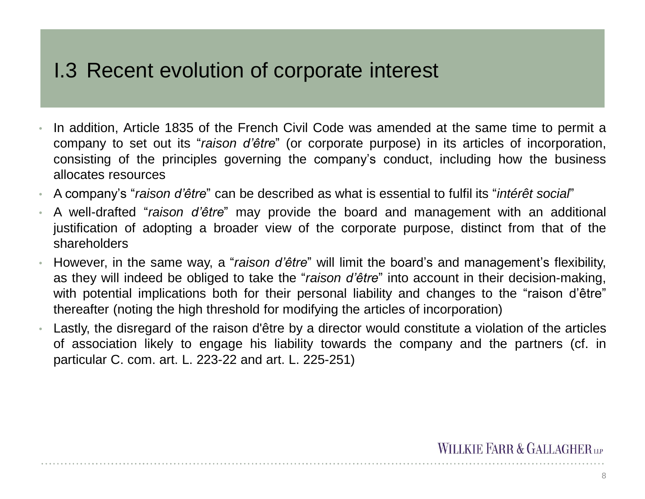### I.3 Recent evolution of corporate interest

- In addition, Article 1835 of the French Civil Code was amended at the same time to permit a company to set out its "*raison d'être*" (or corporate purpose) in its articles of incorporation, consisting of the principles governing the company's conduct, including how the business allocates resources
- A company's "*raison d'être*" can be described as what is essential to fulfil its "*intérêt social*"
- A well-drafted "*raison d'être*" may provide the board and management with an additional justification of adopting a broader view of the corporate purpose, distinct from that of the shareholders
- However, in the same way, a "*raison d'être*" will limit the board's and management's flexibility, as they will indeed be obliged to take the "*raison d'être*" into account in their decision-making, with potential implications both for their personal liability and changes to the "raison d'être" thereafter (noting the high threshold for modifying the articles of incorporation)
- Lastly, the disregard of the raison d'être by a director would constitute a violation of the articles of association likely to engage his liability towards the company and the partners (cf. in particular C. com. art. L. 223-22 and art. L. 225-251)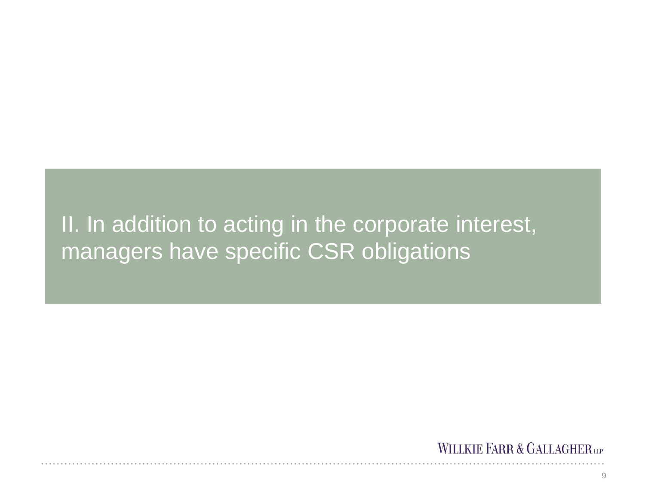## II. In addition to acting in the corporate interest, managers have specific CSR obligations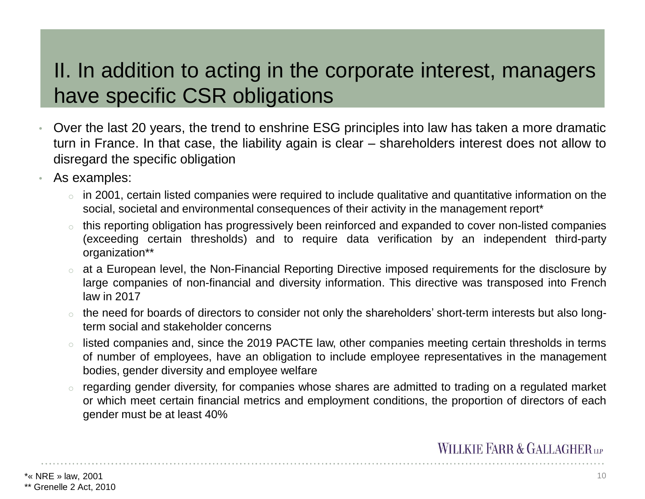## II. In addition to acting in the corporate interest, managers have specific CSR obligations

- Over the last 20 years, the trend to enshrine ESG principles into law has taken a more dramatic turn in France. In that case, the liability again is clear – shareholders interest does not allow to disregard the specific obligation
- As examples:
	- in 2001, certain listed companies were required to include qualitative and quantitative information on the social, societal and environmental consequences of their activity in the management report\*
	- this reporting obligation has progressively been reinforced and expanded to cover non-listed companies (exceeding certain thresholds) and to require data verification by an independent third-party organization\*\*
	- o at a European level, the Non-Financial Reporting Directive imposed requirements for the disclosure by large companies of non-financial and diversity information. This directive was transposed into French law in 2017
	- o the need for boards of directors to consider not only the shareholders' short-term interests but also longterm social and stakeholder concerns
	- listed companies and, since the 2019 PACTE law, other companies meeting certain thresholds in terms of number of employees, have an obligation to include employee representatives in the management bodies, gender diversity and employee welfare
	- regarding gender diversity, for companies whose shares are admitted to trading on a regulated market or which meet certain financial metrics and employment conditions, the proportion of directors of each gender must be at least 40%

 $*$ « NRE » law, 2001  $\sim$ 

<sup>\*\*</sup> Grenelle 2 Act, 2010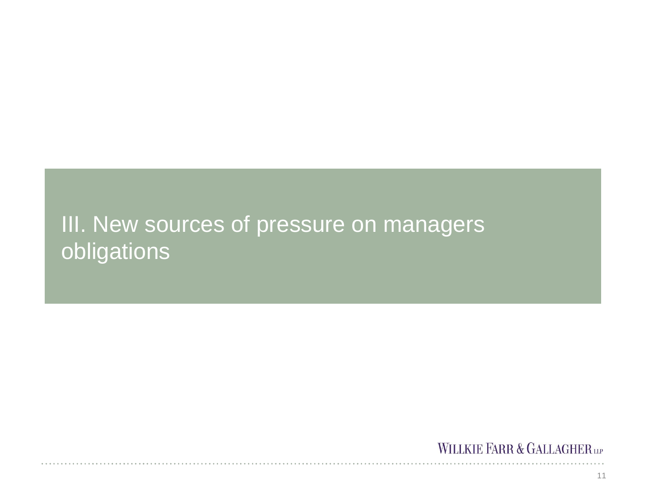# III. New sources of pressure on managers **obligations**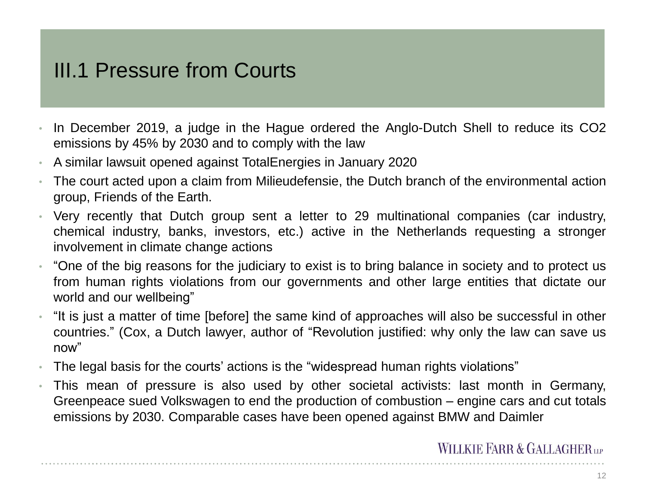## III.1 Pressure from Courts

- In December 2019, a judge in the Hague ordered the Anglo-Dutch Shell to reduce its CO2 emissions by 45% by 2030 and to comply with the law
- A similar lawsuit opened against TotalEnergies in January 2020
- The court acted upon a claim from Milieudefensie, the Dutch branch of the environmental action group, Friends of the Earth.
- Very recently that Dutch group sent a letter to 29 multinational companies (car industry, chemical industry, banks, investors, etc.) active in the Netherlands requesting a stronger involvement in climate change actions
- "One of the big reasons for the judiciary to exist is to bring balance in society and to protect us from human rights violations from our governments and other large entities that dictate our world and our wellbeing"
- "It is just a matter of time [before] the same kind of approaches will also be successful in other countries." (Cox, a Dutch lawyer, author of "Revolution justified: why only the law can save us now"
- The legal basis for the courts' actions is the "widespread human rights violations"
- This mean of pressure is also used by other societal activists: last month in Germany, Greenpeace sued Volkswagen to end the production of combustion – engine cars and cut totals emissions by 2030. Comparable cases have been opened against BMW and Daimler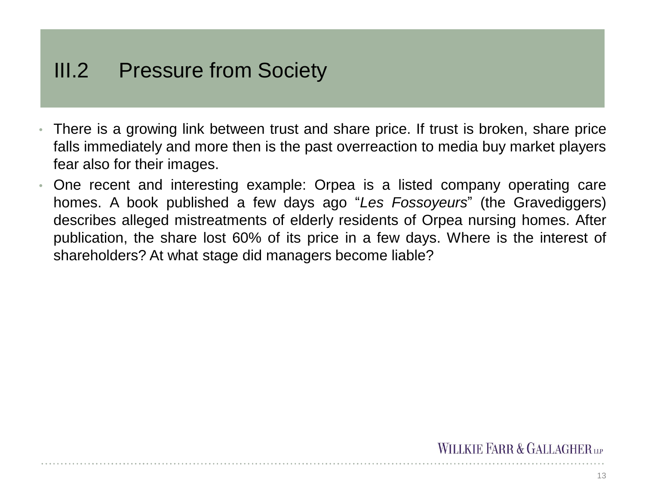## III.2 Pressure from Society

- There is a growing link between trust and share price. If trust is broken, share price falls immediately and more then is the past overreaction to media buy market players fear also for their images.
- One recent and interesting example: Orpea is a listed company operating care homes. A book published a few days ago "*Les Fossoyeurs*" (the Gravediggers) describes alleged mistreatments of elderly residents of Orpea nursing homes. After publication, the share lost 60% of its price in a few days. Where is the interest of shareholders? At what stage did managers become liable?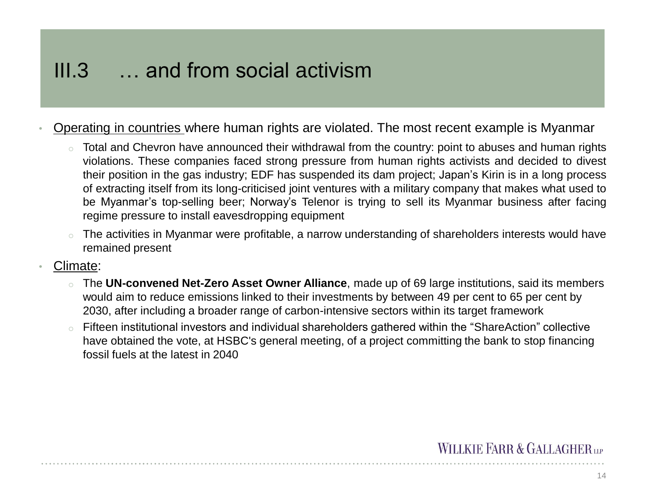## III.3 … and from social activism

- Operating in countries where human rights are violated. The most recent example is Myanmar
	- Total and Chevron have announced their withdrawal from the country: point to abuses and human rights violations. These companies faced strong pressure from human rights activists and decided to divest their position in the gas industry; EDF has suspended its dam project; Japan's Kirin is in a long process of extracting itself from its long-criticised joint ventures with a military company that makes what used to be Myanmar's top-selling beer; Norway's Telenor is trying to sell its Myanmar business after facing regime pressure to install eavesdropping equipment
	- The activities in Myanmar were profitable, a narrow understanding of shareholders interests would have remained present
- Climate:
	- The UN-convened Net-Zero Asset Owner Alliance, made up of 69 large institutions, said its members would aim to reduce emissions linked to their investments by between 49 per cent to 65 per cent by 2030, after including a broader range of carbon-intensive sectors within its target framework
	- Fifteen institutional investors and individual shareholders gathered within the "ShareAction" collective have obtained the vote, at HSBC's general meeting, of a project committing the bank to stop financing fossil fuels at the latest in 2040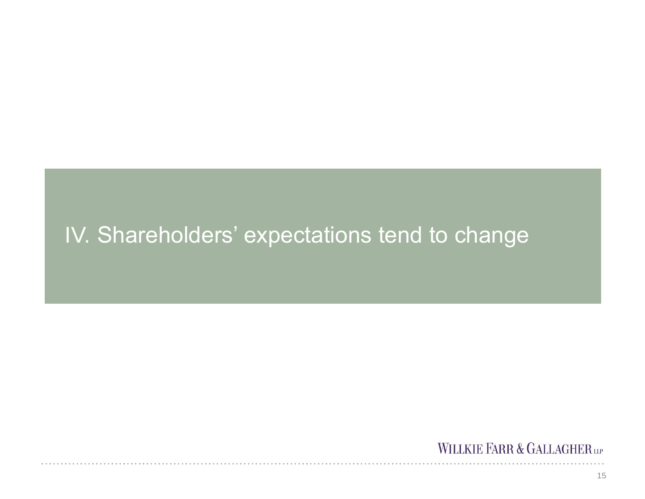# IV. Shareholders' expectations tend to change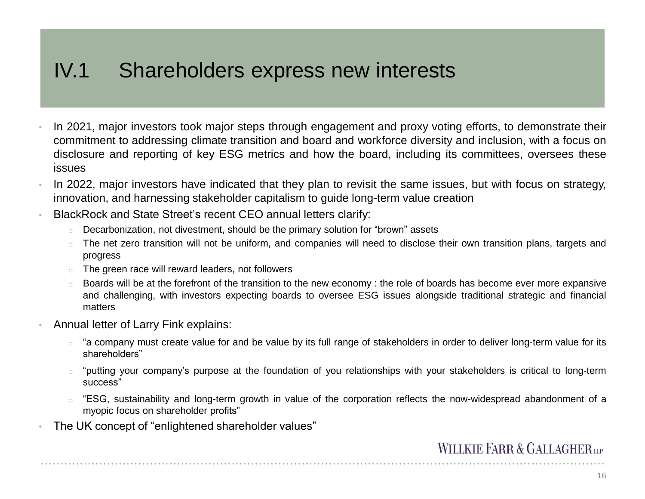## IV.1 Shareholders express new interests

- In 2021, major investors took major steps through engagement and proxy voting efforts, to demonstrate their commitment to addressing climate transition and board and workforce diversity and inclusion, with a focus on disclosure and reporting of key ESG metrics and how the board, including its committees, oversees these issues
- In 2022, major investors have indicated that they plan to revisit the same issues, but with focus on strategy, innovation, and harnessing stakeholder capitalism to guide long-term value creation
- BlackRock and State Street's recent CEO annual letters clarify:
	- o Decarbonization, not divestment, should be the primary solution for "brown" assets
	- o The net zero transition will not be uniform, and companies will need to disclose their own transition plans, targets and progress
	- o The green race will reward leaders, not followers
	- $\circ$  Boards will be at the forefront of the transition to the new economy : the role of boards has become ever more expansive and challenging, with investors expecting boards to oversee ESG issues alongside traditional strategic and financial matters
- Annual letter of Larry Fink explains:
	- $\circ$  "a company must create value for and be value by its full range of stakeholders in order to deliver long-term value for its shareholders"
	- o "putting your company's purpose at the foundation of you relationships with your stakeholders is critical to long-term success"
	- "ESG, sustainability and long-term growth in value of the corporation reflects the now-widespread abandonment of a myopic focus on shareholder profits"
- The UK concept of "enlightened shareholder values"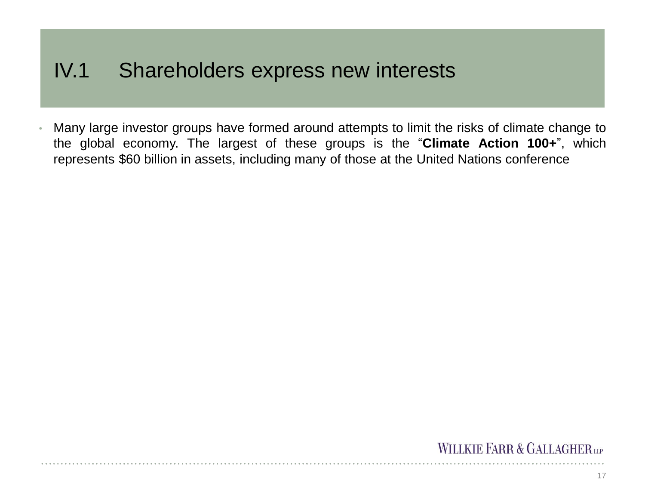### IV.1 Shareholders express new interests

• Many large investor groups have formed around attempts to limit the risks of climate change to the global economy. The largest of these groups is the "**Climate Action 100+**", which represents \$60 billion in assets, including many of those at the United Nations conference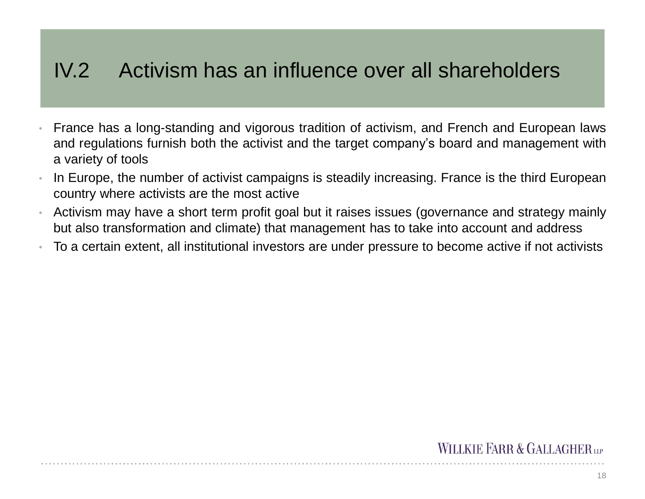## IV.2 Activism has an influence over all shareholders

- France has a long-standing and vigorous tradition of activism, and French and European laws and regulations furnish both the activist and the target company's board and management with a variety of tools
- In Europe, the number of activist campaigns is steadily increasing. France is the third European country where activists are the most active
- Activism may have a short term profit goal but it raises issues (governance and strategy mainly but also transformation and climate) that management has to take into account and address
- To a certain extent, all institutional investors are under pressure to become active if not activists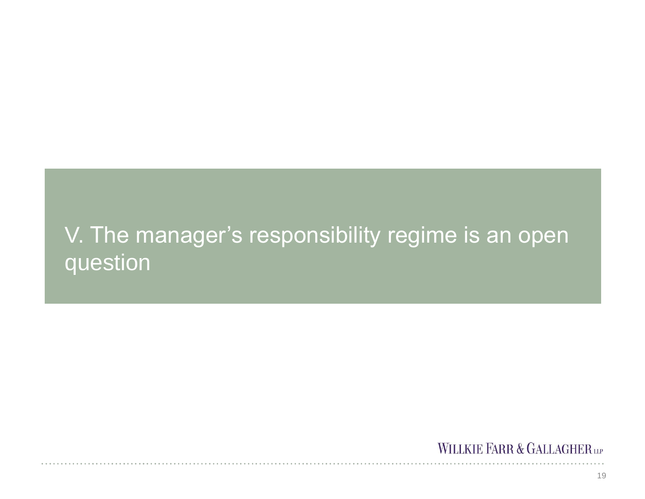# V. The manager's responsibility regime is an open question